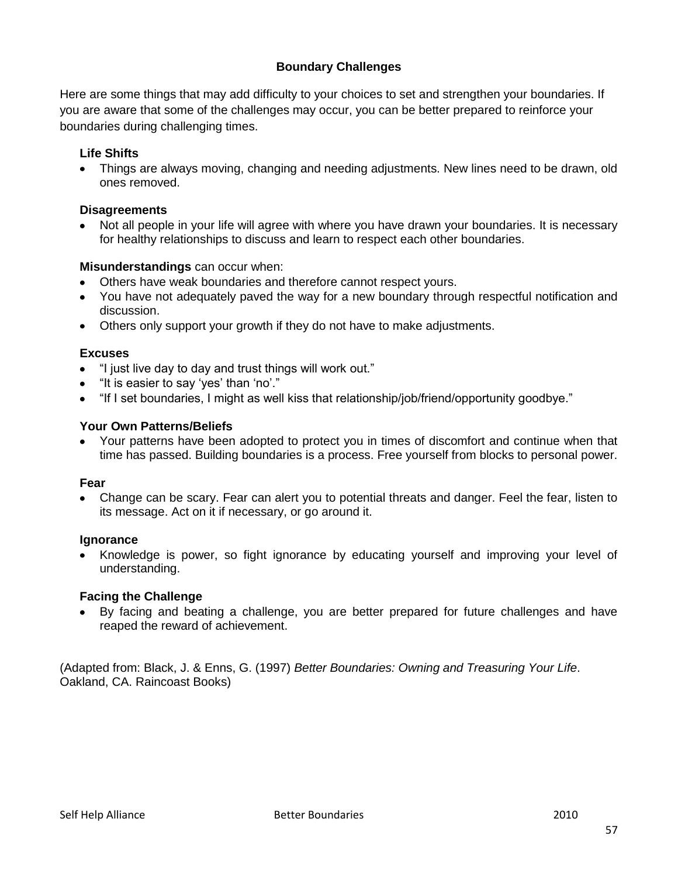## **Boundary Challenges**

Here are some things that may add difficulty to your choices to set and strengthen your boundaries. If you are aware that some of the challenges may occur, you can be better prepared to reinforce your boundaries during challenging times.

## **Life Shifts**

Things are always moving, changing and needing adjustments. New lines need to be drawn, old ones removed.

## **Disagreements**

Not all people in your life will agree with where you have drawn your boundaries. It is necessary for healthy relationships to discuss and learn to respect each other boundaries.

### **Misunderstandings** can occur when:

- Others have weak boundaries and therefore cannot respect yours.
- You have not adequately paved the way for a new boundary through respectful notification and discussion.
- Others only support your growth if they do not have to make adjustments.

### **Excuses**

- "I just live day to day and trust things will work out."
- "It is easier to say "yes" than "no"."
- "If I set boundaries, I might as well kiss that relationship/job/friend/opportunity goodbye."

### **Your Own Patterns/Beliefs**

Your patterns have been adopted to protect you in times of discomfort and continue when that time has passed. Building boundaries is a process. Free yourself from blocks to personal power.

#### **Fear**

Change can be scary. Fear can alert you to potential threats and danger. Feel the fear, listen to its message. Act on it if necessary, or go around it.

#### **Ignorance**

Knowledge is power, so fight ignorance by educating yourself and improving your level of understanding.

#### **Facing the Challenge**

By facing and beating a challenge, you are better prepared for future challenges and have reaped the reward of achievement.

(Adapted from: Black, J. & Enns, G. (1997) *Better Boundaries: Owning and Treasuring Your Life*. Oakland, CA. Raincoast Books)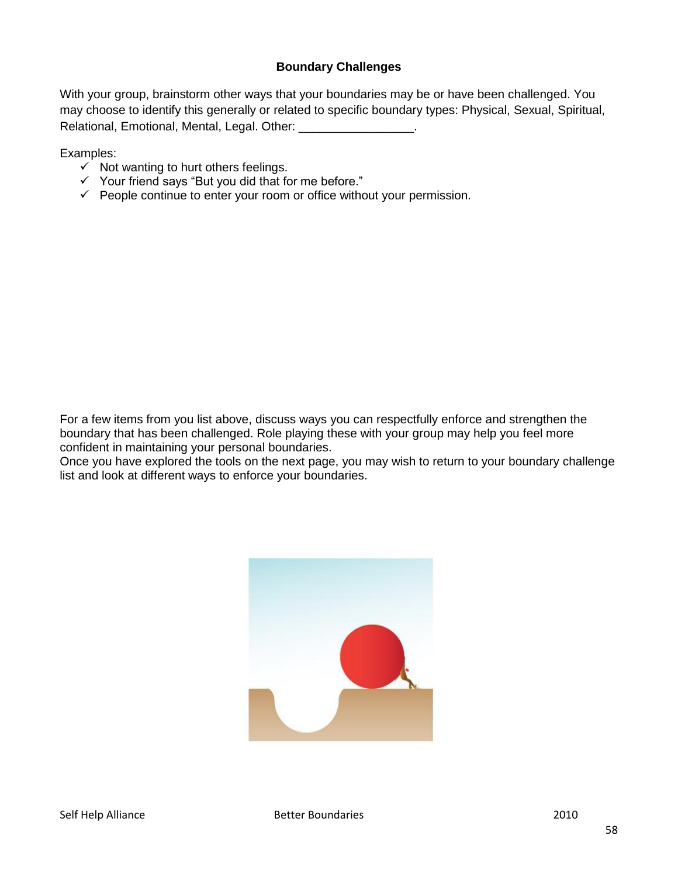## **Boundary Challenges**

With your group, brainstorm other ways that your boundaries may be or have been challenged. You may choose to identify this generally or related to specific boundary types: Physical, Sexual, Spiritual, Relational, Emotional, Mental, Legal. Other: entitled and all others are related as  $\blacksquare$ 

Examples:

- $\checkmark$  Not wanting to hurt others feelings.
- $\checkmark$  Your friend says "But you did that for me before."
- $\checkmark$  People continue to enter your room or office without your permission.

For a few items from you list above, discuss ways you can respectfully enforce and strengthen the boundary that has been challenged. Role playing these with your group may help you feel more confident in maintaining your personal boundaries.

Once you have explored the tools on the next page, you may wish to return to your boundary challenge list and look at different ways to enforce your boundaries.

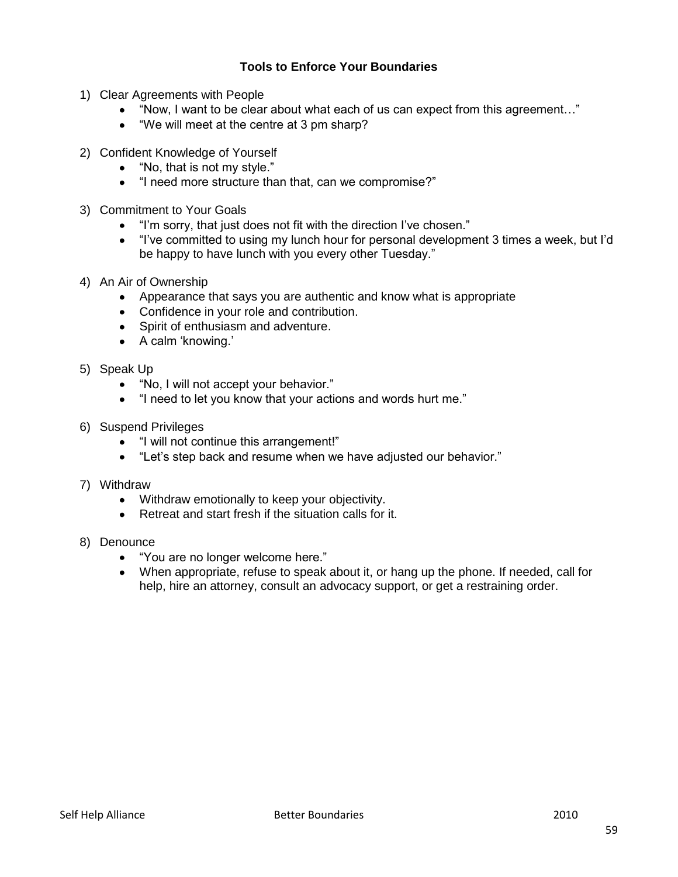# **Tools to Enforce Your Boundaries**

- 1) Clear Agreements with People
	- "Now, I want to be clear about what each of us can expect from this agreement…"
	- "We will meet at the centre at 3 pm sharp?
- 2) Confident Knowledge of Yourself
	- "No, that is not my style."  $\bullet$
	- "I need more structure than that, can we compromise?"
- 3) Commitment to Your Goals
	- "I"m sorry, that just does not fit with the direction I"ve chosen."  $\bullet$
	- "I"ve committed to using my lunch hour for personal development 3 times a week, but I"d be happy to have lunch with you every other Tuesday."
- 4) An Air of Ownership
	- Appearance that says you are authentic and know what is appropriate
	- Confidence in your role and contribution.
	- Spirit of enthusiasm and adventure.
	- A calm 'knowing.'
- 5) Speak Up
	- "No, I will not accept your behavior."  $\bullet$
	- "I need to let you know that your actions and words hurt me."
- 6) Suspend Privileges
	- "I will not continue this arrangement!"
	- "Let's step back and resume when we have adjusted our behavior."
- 7) Withdraw
	- Withdraw emotionally to keep your objectivity.  $\bullet$
	- Retreat and start fresh if the situation calls for it.
- 8) Denounce
	- "You are no longer welcome here."
	- When appropriate, refuse to speak about it, or hang up the phone. If needed, call for help, hire an attorney, consult an advocacy support, or get a restraining order.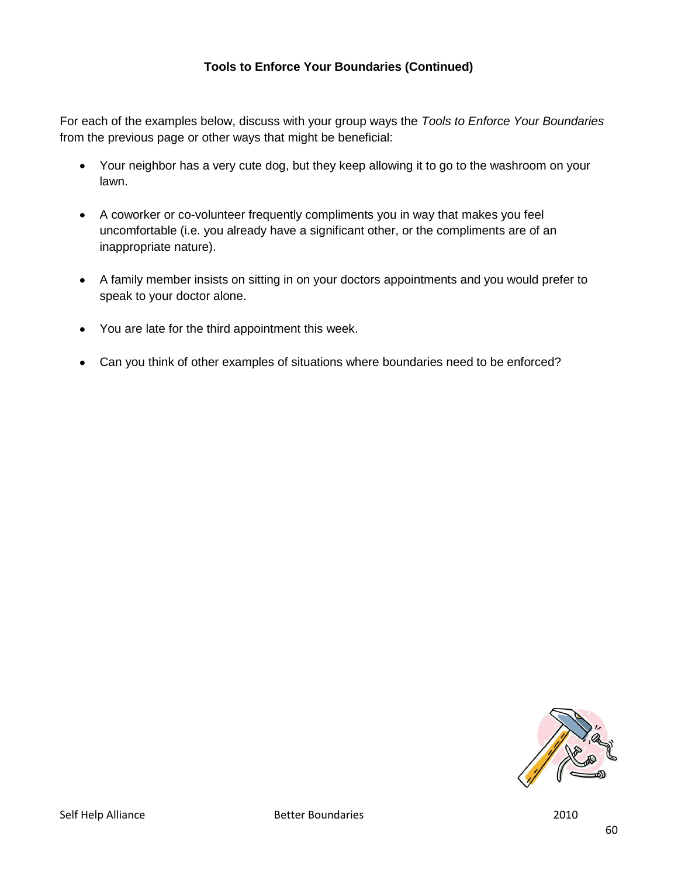# **Tools to Enforce Your Boundaries (Continued)**

For each of the examples below, discuss with your group ways the *Tools to Enforce Your Boundaries* from the previous page or other ways that might be beneficial:

- Your neighbor has a very cute dog, but they keep allowing it to go to the washroom on your lawn.
- A coworker or co-volunteer frequently compliments you in way that makes you feel uncomfortable (i.e. you already have a significant other, or the compliments are of an inappropriate nature).
- A family member insists on sitting in on your doctors appointments and you would prefer to speak to your doctor alone.
- You are late for the third appointment this week.
- Can you think of other examples of situations where boundaries need to be enforced?